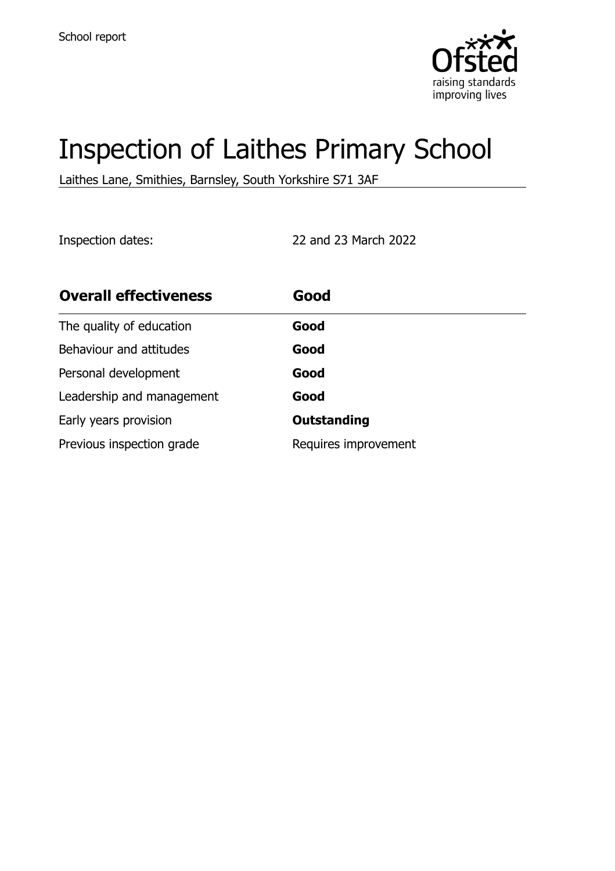

# Inspection of Laithes Primary School

Laithes Lane, Smithies, Barnsley, South Yorkshire S71 3AF

Inspection dates: 22 and 23 March 2022

| <b>Overall effectiveness</b> | Good                 |
|------------------------------|----------------------|
| The quality of education     | Good                 |
| Behaviour and attitudes      | Good                 |
| Personal development         | Good                 |
| Leadership and management    | Good                 |
| Early years provision        | <b>Outstanding</b>   |
| Previous inspection grade    | Requires improvement |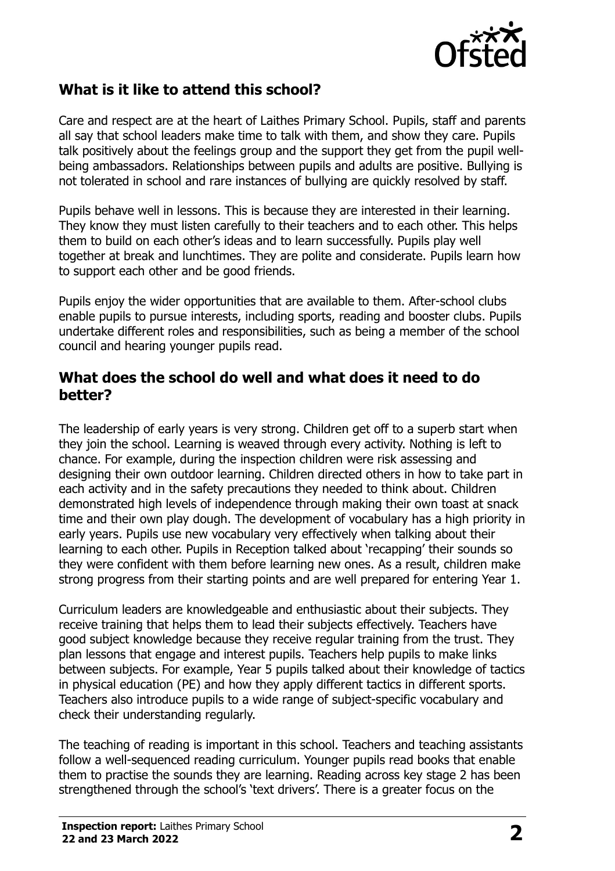

## **What is it like to attend this school?**

Care and respect are at the heart of Laithes Primary School. Pupils, staff and parents all say that school leaders make time to talk with them, and show they care. Pupils talk positively about the feelings group and the support they get from the pupil wellbeing ambassadors. Relationships between pupils and adults are positive. Bullying is not tolerated in school and rare instances of bullying are quickly resolved by staff.

Pupils behave well in lessons. This is because they are interested in their learning. They know they must listen carefully to their teachers and to each other. This helps them to build on each other's ideas and to learn successfully. Pupils play well together at break and lunchtimes. They are polite and considerate. Pupils learn how to support each other and be good friends.

Pupils enjoy the wider opportunities that are available to them. After-school clubs enable pupils to pursue interests, including sports, reading and booster clubs. Pupils undertake different roles and responsibilities, such as being a member of the school council and hearing younger pupils read.

#### **What does the school do well and what does it need to do better?**

The leadership of early years is very strong. Children get off to a superb start when they join the school. Learning is weaved through every activity. Nothing is left to chance. For example, during the inspection children were risk assessing and designing their own outdoor learning. Children directed others in how to take part in each activity and in the safety precautions they needed to think about. Children demonstrated high levels of independence through making their own toast at snack time and their own play dough. The development of vocabulary has a high priority in early years. Pupils use new vocabulary very effectively when talking about their learning to each other. Pupils in Reception talked about 'recapping' their sounds so they were confident with them before learning new ones. As a result, children make strong progress from their starting points and are well prepared for entering Year 1.

Curriculum leaders are knowledgeable and enthusiastic about their subjects. They receive training that helps them to lead their subjects effectively. Teachers have good subject knowledge because they receive regular training from the trust. They plan lessons that engage and interest pupils. Teachers help pupils to make links between subjects. For example, Year 5 pupils talked about their knowledge of tactics in physical education (PE) and how they apply different tactics in different sports. Teachers also introduce pupils to a wide range of subject-specific vocabulary and check their understanding regularly.

The teaching of reading is important in this school. Teachers and teaching assistants follow a well-sequenced reading curriculum. Younger pupils read books that enable them to practise the sounds they are learning. Reading across key stage 2 has been strengthened through the school's 'text drivers'. There is a greater focus on the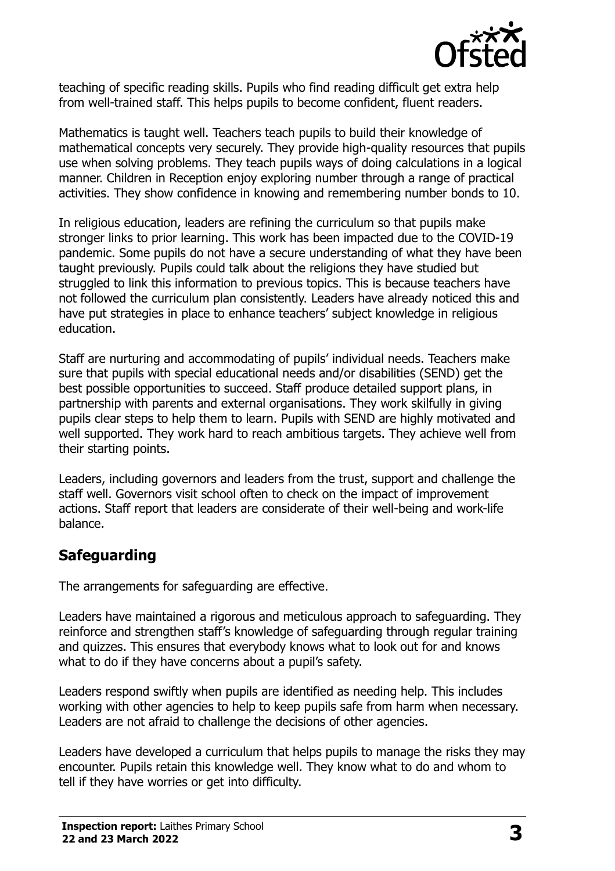

teaching of specific reading skills. Pupils who find reading difficult get extra help from well-trained staff. This helps pupils to become confident, fluent readers.

Mathematics is taught well. Teachers teach pupils to build their knowledge of mathematical concepts very securely. They provide high-quality resources that pupils use when solving problems. They teach pupils ways of doing calculations in a logical manner. Children in Reception enjoy exploring number through a range of practical activities. They show confidence in knowing and remembering number bonds to 10.

In religious education, leaders are refining the curriculum so that pupils make stronger links to prior learning. This work has been impacted due to the COVID-19 pandemic. Some pupils do not have a secure understanding of what they have been taught previously. Pupils could talk about the religions they have studied but struggled to link this information to previous topics. This is because teachers have not followed the curriculum plan consistently. Leaders have already noticed this and have put strategies in place to enhance teachers' subject knowledge in religious education.

Staff are nurturing and accommodating of pupils' individual needs. Teachers make sure that pupils with special educational needs and/or disabilities (SEND) get the best possible opportunities to succeed. Staff produce detailed support plans, in partnership with parents and external organisations. They work skilfully in giving pupils clear steps to help them to learn. Pupils with SEND are highly motivated and well supported. They work hard to reach ambitious targets. They achieve well from their starting points.

Leaders, including governors and leaders from the trust, support and challenge the staff well. Governors visit school often to check on the impact of improvement actions. Staff report that leaders are considerate of their well-being and work-life balance.

# **Safeguarding**

The arrangements for safeguarding are effective.

Leaders have maintained a rigorous and meticulous approach to safeguarding. They reinforce and strengthen staff's knowledge of safeguarding through regular training and quizzes. This ensures that everybody knows what to look out for and knows what to do if they have concerns about a pupil's safety.

Leaders respond swiftly when pupils are identified as needing help. This includes working with other agencies to help to keep pupils safe from harm when necessary. Leaders are not afraid to challenge the decisions of other agencies.

Leaders have developed a curriculum that helps pupils to manage the risks they may encounter. Pupils retain this knowledge well. They know what to do and whom to tell if they have worries or get into difficulty.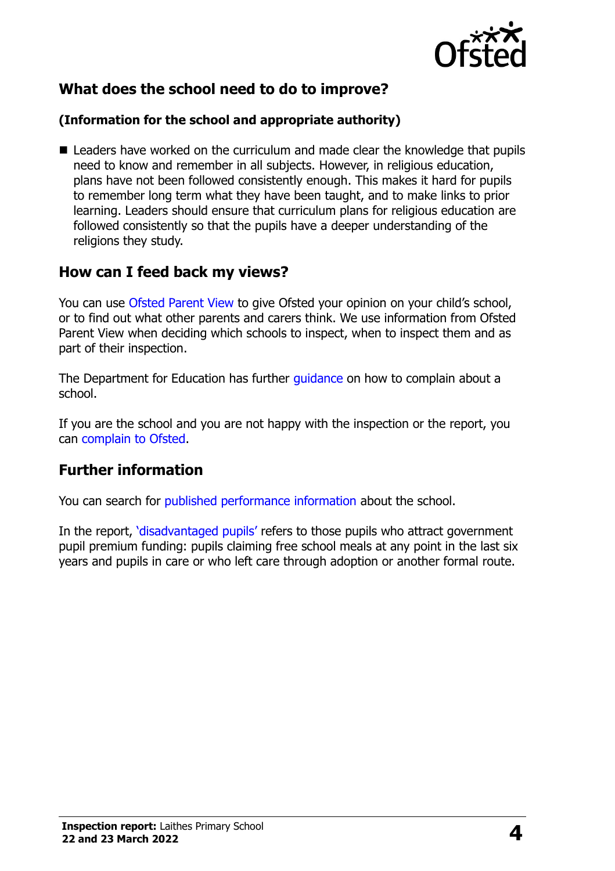

# **What does the school need to do to improve?**

#### **(Information for the school and appropriate authority)**

■ Leaders have worked on the curriculum and made clear the knowledge that pupils need to know and remember in all subjects. However, in religious education, plans have not been followed consistently enough. This makes it hard for pupils to remember long term what they have been taught, and to make links to prior learning. Leaders should ensure that curriculum plans for religious education are followed consistently so that the pupils have a deeper understanding of the religions they study.

## **How can I feed back my views?**

You can use [Ofsted Parent View](http://parentview.ofsted.gov.uk/) to give Ofsted your opinion on your child's school, or to find out what other parents and carers think. We use information from Ofsted Parent View when deciding which schools to inspect, when to inspect them and as part of their inspection.

The Department for Education has further quidance on how to complain about a school.

If you are the school and you are not happy with the inspection or the report, you can [complain to Ofsted.](http://www.gov.uk/complain-ofsted-report)

## **Further information**

You can search for [published performance information](http://www.compare-school-performance.service.gov.uk/) about the school.

In the report, '[disadvantaged pupils](http://www.gov.uk/guidance/pupil-premium-information-for-schools-and-alternative-provision-settings)' refers to those pupils who attract government pupil premium funding: pupils claiming free school meals at any point in the last six years and pupils in care or who left care through adoption or another formal route.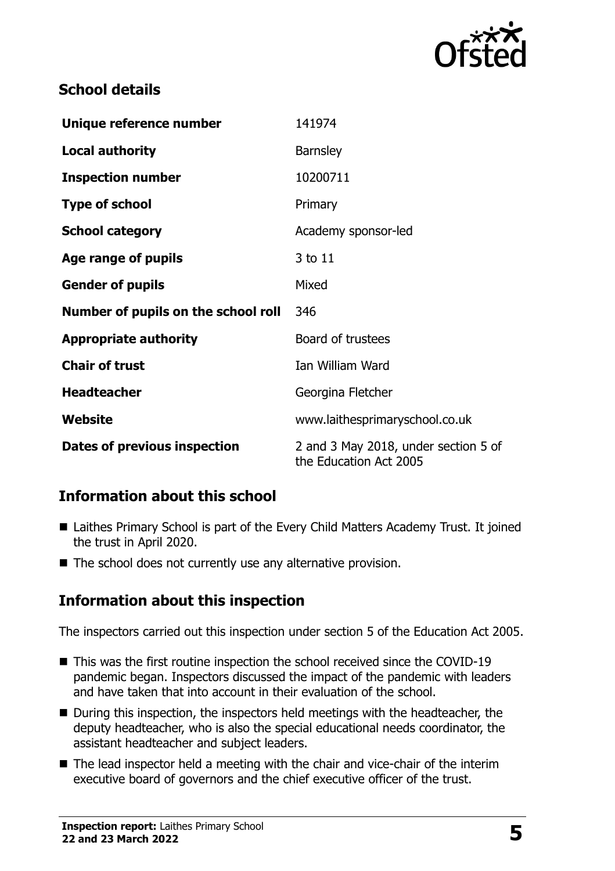

# **School details**

| Unique reference number             | 141974                                                         |
|-------------------------------------|----------------------------------------------------------------|
| <b>Local authority</b>              | <b>Barnsley</b>                                                |
| <b>Inspection number</b>            | 10200711                                                       |
| <b>Type of school</b>               | Primary                                                        |
| <b>School category</b>              | Academy sponsor-led                                            |
| Age range of pupils                 | 3 to 11                                                        |
| <b>Gender of pupils</b>             | Mixed                                                          |
| Number of pupils on the school roll | 346                                                            |
| <b>Appropriate authority</b>        | Board of trustees                                              |
| <b>Chair of trust</b>               | Ian William Ward                                               |
| <b>Headteacher</b>                  | Georgina Fletcher                                              |
| Website                             | www.laithesprimaryschool.co.uk                                 |
| Dates of previous inspection        | 2 and 3 May 2018, under section 5 of<br>the Education Act 2005 |

# **Information about this school**

- Laithes Primary School is part of the Every Child Matters Academy Trust. It joined the trust in April 2020.
- The school does not currently use any alternative provision.

# **Information about this inspection**

The inspectors carried out this inspection under section 5 of the Education Act 2005.

- This was the first routine inspection the school received since the COVID-19 pandemic began. Inspectors discussed the impact of the pandemic with leaders and have taken that into account in their evaluation of the school.
- During this inspection, the inspectors held meetings with the headteacher, the deputy headteacher, who is also the special educational needs coordinator, the assistant headteacher and subject leaders.
- The lead inspector held a meeting with the chair and vice-chair of the interim executive board of governors and the chief executive officer of the trust.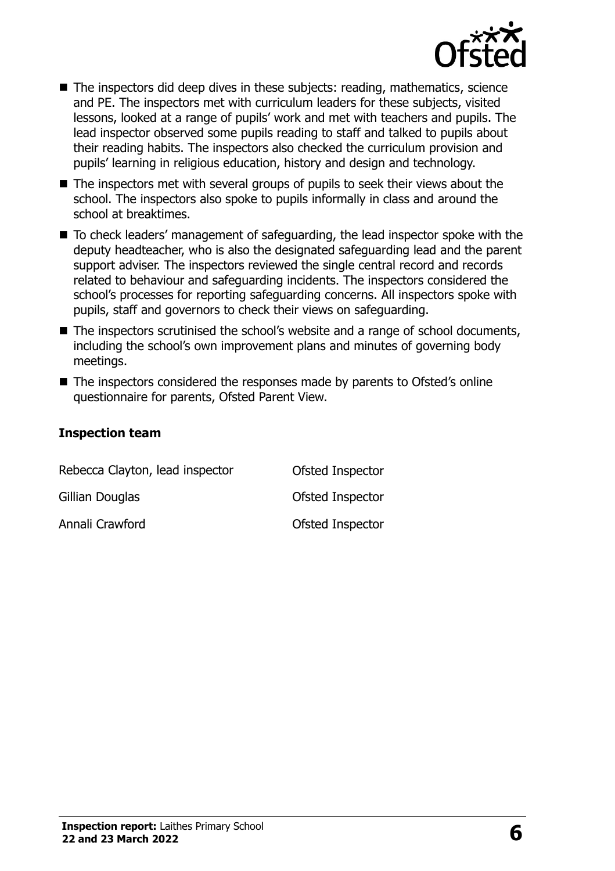

- The inspectors did deep dives in these subjects: reading, mathematics, science and PE. The inspectors met with curriculum leaders for these subjects, visited lessons, looked at a range of pupils' work and met with teachers and pupils. The lead inspector observed some pupils reading to staff and talked to pupils about their reading habits. The inspectors also checked the curriculum provision and pupils' learning in religious education, history and design and technology.
- The inspectors met with several groups of pupils to seek their views about the school. The inspectors also spoke to pupils informally in class and around the school at breaktimes.
- To check leaders' management of safeguarding, the lead inspector spoke with the deputy headteacher, who is also the designated safeguarding lead and the parent support adviser. The inspectors reviewed the single central record and records related to behaviour and safeguarding incidents. The inspectors considered the school's processes for reporting safeguarding concerns. All inspectors spoke with pupils, staff and governors to check their views on safeguarding.
- The inspectors scrutinised the school's website and a range of school documents, including the school's own improvement plans and minutes of governing body meetings.
- The inspectors considered the responses made by parents to Ofsted's online questionnaire for parents, Ofsted Parent View.

#### **Inspection team**

| Rebecca Clayton, lead inspector | Ofsted Inspector |
|---------------------------------|------------------|
| Gillian Douglas                 | Ofsted Inspector |
| Annali Crawford                 | Ofsted Inspector |